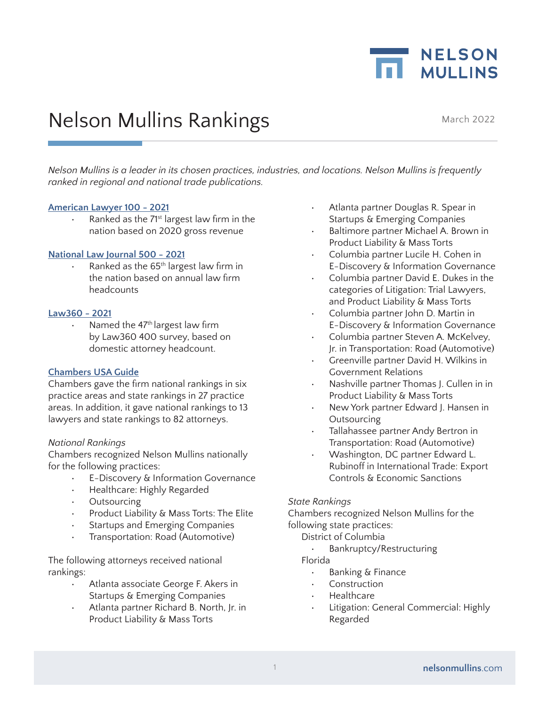

# Nelson Mullins Rankings March 2022

*Nelson Mullins is a leader in its chosen practices, industries, and locations. Nelson Mullins is frequently ranked in regional and national trade publications.*

#### **American Lawyer 100 - 2021**

Ranked as the 71<sup>st</sup> largest law firm in the nation based on 2020 gross revenue

#### **National Law Journal 500 - 2021**

Ranked as the 65<sup>th</sup> largest law firm in the nation based on annual law firm headcounts

#### **Law360 - 2021**

Named the 47<sup>th</sup> largest law firm by Law360 400 survey, based on domestic attorney headcount.

#### **Chambers USA Guide**

Chambers gave the firm national rankings in six practice areas and state rankings in 27 practice areas. In addition, it gave national rankings to 13 lawyers and state rankings to 82 attorneys.

#### *National Rankings*

Chambers recognized Nelson Mullins nationally for the following practices:

- E-Discovery & Information Governance
- Healthcare: Highly Regarded
- **Outsourcing**
- Product Liability & Mass Torts: The Elite
- Startups and Emerging Companies
- Transportation: Road (Automotive)

The following attorneys received national rankings:

- Atlanta associate George F. Akers in Startups & Emerging Companies
- Atlanta partner Richard B. North, Jr. in Product Liability & Mass Torts
- Atlanta partner Douglas R. Spear in Startups & Emerging Companies
- Baltimore partner Michael A. Brown in Product Liability & Mass Torts
- Columbia partner Lucile H. Cohen in E-Discovery & Information Governance
- Columbia partner David E. Dukes in the categories of Litigation: Trial Lawyers, and Product Liability & Mass Torts
- Columbia partner John D. Martin in E-Discovery & Information Governance
- Columbia partner Steven A. McKelvey, Jr. in Transportation: Road (Automotive)
- Greenville partner David H. Wilkins in Government Relations
- Nashville partner Thomas J. Cullen in in Product Liability & Mass Torts
- New York partner Edward J. Hansen in **Outsourcing**
- Tallahassee partner Andy Bertron in Transportation: Road (Automotive)
- Washington, DC partner Edward L. Rubinoff in International Trade: Export Controls & Economic Sanctions

#### *State Rankings*

Chambers recognized Nelson Mullins for the following state practices:

- District of Columbia
	- Bankruptcy/Restructuring

Florida

- Banking & Finance
- **Construction**
- Healthcare
- Litigation: General Commercial: Highly Regarded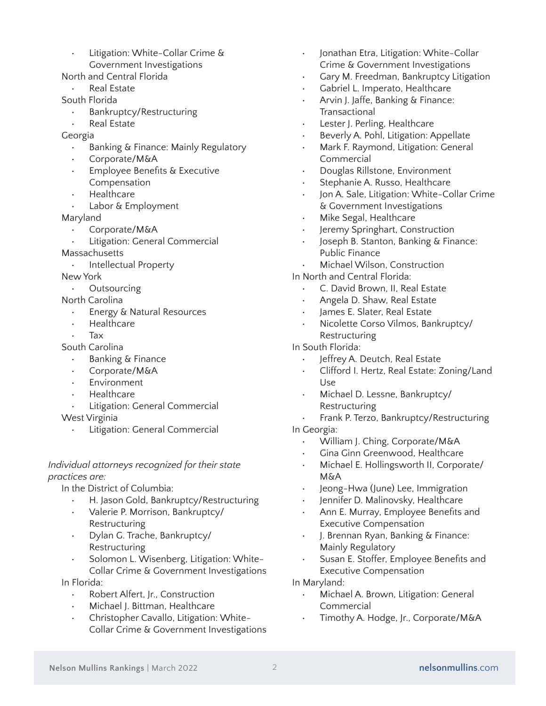• Litigation: White-Collar Crime & Government Investigations

North and Central Florida

- Real Estate
- South Florida
	- Bankruptcy/Restructuring
	- Real Estate
- Georgia
	- Banking & Finance: Mainly Regulatory
	- Corporate/M&A
	- **Employee Benefits & Executive** Compensation
	- Healthcare
	- Labor & Employment

Maryland

- Corporate/M&A
- Litigation: General Commercial

**Massachusetts** 

• Intellectual Property

New York

• Outsourcing

North Carolina

- Energy & Natural Resources
- Healthcare
- Tax

South Carolina

- Banking & Finance
- Corporate/M&A
- **Environment**
- Healthcare
- Litigation: General Commercial

West Virginia

• Litigation: General Commercial

## *Individual attorneys recognized for their state practices are:*

In the District of Columbia:

- H. Jason Gold, Bankruptcy/Restructuring
- Valerie P. Morrison, Bankruptcy/ Restructuring
- Dylan G. Trache, Bankruptcy/ Restructuring
- Solomon L. Wisenberg, Litigation: White-Collar Crime & Government Investigations

In Florida:

- Robert Alfert, Jr., Construction
- Michael J. Bittman, Healthcare
- Christopher Cavallo, Litigation: White-Collar Crime & Government Investigations
- Jonathan Etra, Litigation: White-Collar Crime & Government Investigations
- Gary M. Freedman, Bankruptcy Litigation
- Gabriel L. Imperato, Healthcare
- Arvin J. Jaffe, Banking & Finance: **Transactional**
- Lester J. Perling, Healthcare
- Beverly A. Pohl, Litigation: Appellate
- Mark F. Raymond, Litigation: General Commercial
- Douglas Rillstone, Environment
- Stephanie A. Russo, Healthcare
- Jon A. Sale, Litigation: White-Collar Crime & Government Investigations
- Mike Segal, Healthcare
- Jeremy Springhart, Construction
- Joseph B. Stanton, Banking & Finance: Public Finance
- Michael Wilson, Construction
- In North and Central Florida:
	- C. David Brown, II, Real Estate
	- Angela D. Shaw, Real Estate
	- James E. Slater, Real Estate
	- Nicolette Corso Vilmos, Bankruptcy/ Restructuring

# In South Florida:

- Jeffrey A. Deutch, Real Estate
- Clifford I. Hertz, Real Estate: Zoning/Land Use
- Michael D. Lessne, Bankruptcy/ Restructuring
- Frank P. Terzo, Bankruptcy/Restructuring In Georgia:
	- William J. Ching, Corporate/M&A
	- Gina Ginn Greenwood, Healthcare
	- Michael E. Hollingsworth II, Corporate/ M&A
	- Jeong-Hwa (June) Lee, Immigration
	- Jennifer D. Malinovsky, Healthcare
	- Ann E. Murray, Employee Benefits and Executive Compensation
	- J. Brennan Ryan, Banking & Finance: Mainly Regulatory
	- Susan E. Stoffer, Employee Benefits and Executive Compensation

In Maryland:

- Michael A. Brown, Litigation: General Commercial
- Timothy A. Hodge, Jr., Corporate/M&A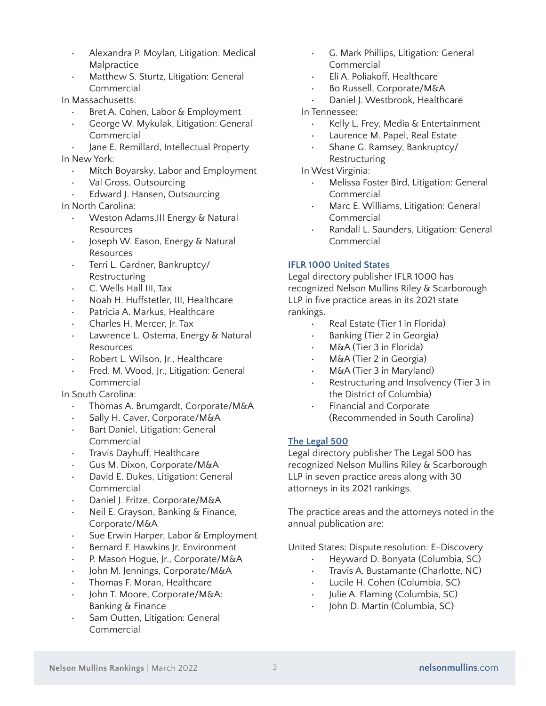- Alexandra P. Moylan, Litigation: Medical Malpractice
- Matthew S. Sturtz, Litigation: General Commercial

In Massachusetts:

- Bret A. Cohen, Labor & Employment
- George W. Mykulak, Litigation: General Commercial
- Jane E. Remillard, Intellectual Property In New York:
	- Mitch Boyarsky, Labor and Employment
	- Val Gross, Outsourcing
	- Edward J. Hansen, Outsourcing

In North Carolina:

- Weston Adams,III Energy & Natural **Resources**
- Joseph W. Eason, Energy & Natural Resources
- Terri L. Gardner, Bankruptcy/ Restructuring
- C. Wells Hall III, Tax
- Noah H. Huffstetler, III, Healthcare
- Patricia A. Markus, Healthcare
- Charles H. Mercer, Jr. Tax
- Lawrence L. Ostema, Energy & Natural **Resources**
- Robert L. Wilson, Jr., Healthcare
- Fred. M. Wood, Jr., Litigation: General Commercial

In South Carolina:

- Thomas A. Brumgardt, Corporate/M&A
- Sally H. Caver, Corporate/M&A
- Bart Daniel, Litigation: General Commercial
- Travis Dayhuff, Healthcare
- Gus M. Dixon, Corporate/M&A
- David E. Dukes, Litigation: General Commercial
- Daniel J. Fritze, Corporate/M&A
- Neil E. Grayson, Banking & Finance, Corporate/M&A
- Sue Erwin Harper, Labor & Employment
- Bernard F. Hawkins Jr, Environment
- P. Mason Hogue, Jr., Corporate/M&A
- John M. Jennings, Corporate/M&A
- Thomas F. Moran, Healthcare
- John T. Moore, Corporate/M&A: Banking & Finance
- Sam Outten, Litigation: General Commercial
- G. Mark Phillips, Litigation: General Commercial
- Eli A. Poliakoff, Healthcare
- Bo Russell, Corporate/M&A
- Daniel J. Westbrook, Healthcare

In Tennessee:

- Kelly L. Frey, Media & Entertainment
- Laurence M. Papel, Real Estate
- Shane G. Ramsey, Bankruptcy/ Restructuring
- In West Virginia:
	- Melissa Foster Bird, Litigation: General Commercial
	- Marc E. Williams, Litigation: General Commercial
	- Randall L. Saunders, Litigation: General Commercial

## **IFLR 1000 United States**

Legal directory publisher IFLR 1000 has recognized Nelson Mullins Riley & Scarborough LLP in five practice areas in its 2021 state rankings.

- Real Estate (Tier 1 in Florida)
- Banking (Tier 2 in Georgia)
- M&A (Tier 3 in Florida)
- M&A (Tier 2 in Georgia)
- M&A (Tier 3 in Maryland)
- Restructuring and Insolvency (Tier 3 in the District of Columbia)
- Financial and Corporate (Recommended in South Carolina)

## **The Legal 500**

Legal directory publisher The Legal 500 has recognized Nelson Mullins Riley & Scarborough LLP in seven practice areas along with 30 attorneys in its 2021 rankings.

The practice areas and the attorneys noted in the annual publication are:

United States: Dispute resolution: E-Discovery

- Heyward D. Bonyata (Columbia, SC)
- Travis A. Bustamante (Charlotte, NC)
- Lucile H. Cohen (Columbia, SC)
- Julie A. Flaming (Columbia, SC)
- John D. Martin (Columbia, SC)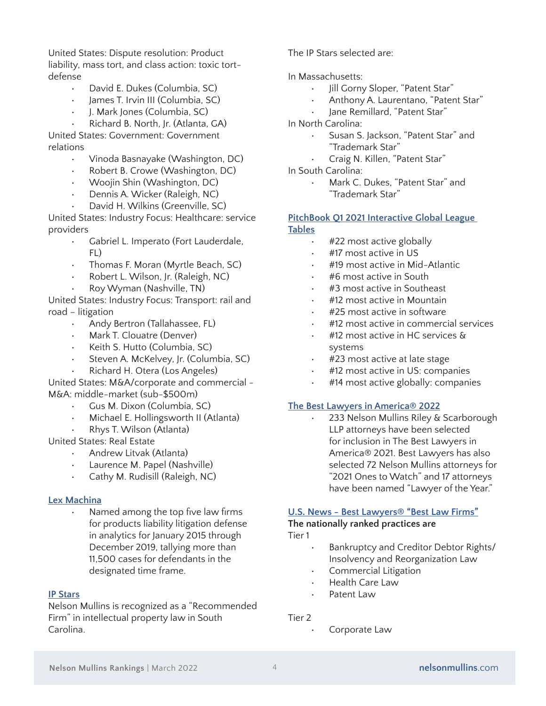United States: Dispute resolution: Product liability, mass tort, and class action: toxic tortdefense

- David E. Dukes (Columbia, SC)
- James T. Irvin III (Columbia, SC)
- J. Mark Jones (Columbia, SC)

• Richard B. North, Jr. (Atlanta, GA) United States: Government: Government

relations

- Vinoda Basnayake (Washington, DC)
- Robert B. Crowe (Washington, DC)
- Woojin Shin (Washington, DC)
- Dennis A. Wicker (Raleigh, NC)
- David H. Wilkins (Greenville, SC)

United States: Industry Focus: Healthcare: service providers

- Gabriel L. Imperato (Fort Lauderdale, FL)
- Thomas F. Moran (Myrtle Beach, SC)
- Robert L. Wilson, Jr. (Raleigh, NC)
- Roy Wyman (Nashville, TN)

United States: Industry Focus: Transport: rail and road – litigation

- Andy Bertron (Tallahassee, FL)
- Mark T. Clouatre (Denver)
- Keith S. Hutto (Columbia, SC)
- Steven A. McKelvey, Jr. (Columbia, SC)
- Richard H. Otera (Los Angeles)

United States: M&A/corporate and commercial - M&A: middle-market (sub-\$500m)

- Gus M. Dixon (Columbia, SC)
- Michael E. Hollingsworth II (Atlanta)
- Rhys T. Wilson (Atlanta)

United States: Real Estate

- Andrew Litvak (Atlanta)
- Laurence M. Papel (Nashville)
- Cathy M. Rudisill (Raleigh, NC)

#### **Lex Machina**

• Named among the top five law firms for products liability litigation defense in analytics for January 2015 through December 2019, tallying more than 11,500 cases for defendants in the designated time frame.

#### **IP Stars**

Nelson Mullins is recognized as a "Recommended Firm" in intellectual property law in South Carolina.

The IP Stars selected are:

In Massachusetts:

- Jill Gorny Sloper, "Patent Star"
- Anthony A. Laurentano, "Patent Star"
- Jane Remillard, "Patent Star"

In North Carolina:

- Susan S. Jackson, "Patent Star" and "Trademark Star"
- Craig N. Killen, "Patent Star"
- In South Carolina:
	- Mark C. Dukes, "Patent Star" and "Trademark Star"

#### **PitchBook Q1 2021 Interactive Global League Tables**

- #22 most active globally
- #17 most active in US
- #19 most active in Mid-Atlantic
- #6 most active in South
- #3 most active in Southeast
- #12 most active in Mountain
- #25 most active in software
- #12 most active in commercial services
- #12 most active in HC services & systems
- #23 most active at late stage
- #12 most active in US: companies
- #14 most active globally: companies

#### **The Best Lawyers in America® 2022**

• 233 Nelson Mullins Riley & Scarborough LLP attorneys have been selected for inclusion in The Best Lawyers in America® 2021. Best Lawyers has also selected 72 Nelson Mullins attorneys for "2021 Ones to Watch" and 17 attorneys have been named "Lawyer of the Year."

# **[U.S. News - Best Lawyers® "Best Law Firms"](https://bestlawfirms.usnews.com/methodology.aspx)**

# **The nationally ranked practices are**

- Tier 1
	- Bankruptcy and Creditor Debtor Rights/ Insolvency and Reorganization Law
	- Commercial Litigation
	- Health Care Law
	- Patent Law

#### Tier 2

Corporate Law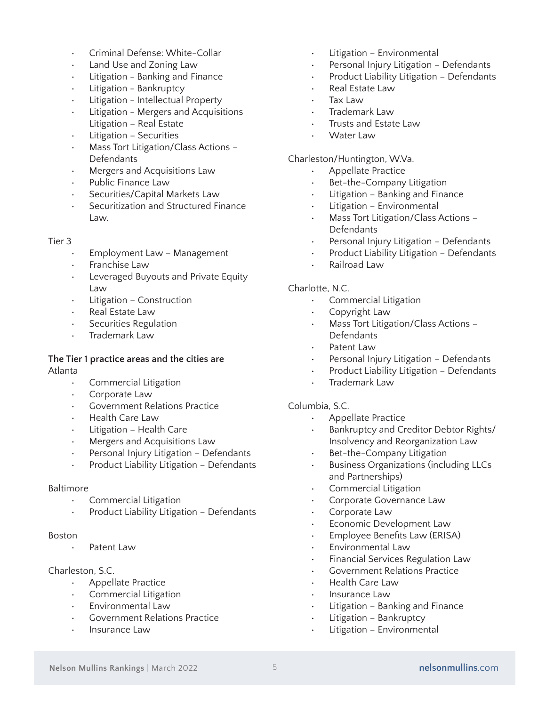- Criminal Defense: White-Collar
- Land Use and Zoning Law
- Litigation Banking and Finance
- Litigation Bankruptcy
- Litigation Intellectual Property
- Litigation Mergers and Acquisitions Litigation – Real Estate
- Litigation Securities
- Mass Tort Litigation/Class Actions Defendants
- Mergers and Acquisitions Law
- Public Finance Law
- Securities/Capital Markets Law
- Securitization and Structured Finance Law.

#### Tier 3

- Employment Law Management
- Franchise Law
- Leveraged Buyouts and Private Equity Law
- Litigation Construction
- Real Estate Law
- Securities Regulation
- Trademark Law

#### **The Tier 1 practice areas and the cities are** Atlanta

- Commercial Litigation
- Corporate Law
- Government Relations Practice
- Health Care Law
- Litigation Health Care
- Mergers and Acquisitions Law
- Personal Injury Litigation Defendants
- Product Liability Litigation Defendants

#### Baltimore

- Commercial Litigation
- Product Liability Litigation Defendants

#### Boston

Patent Law

#### Charleston, S.C.

- Appellate Practice
- Commercial Litigation
- Environmental Law
- Government Relations Practice
- Insurance Law
- Litigation Environmental
- Personal Injury Litigation Defendants
- Product Liability Litigation Defendants
- Real Estate Law
- Tax Law
- Trademark Law
- Trusts and Estate Law
- Water Law

#### Charleston/Huntington, W.Va.

- Appellate Practice
- Bet-the-Company Litigation
- Litigation Banking and Finance
- Litigation Environmental
- Mass Tort Litigation/Class Actions Defendants
- Personal Injury Litigation Defendants
- Product Liability Litigation Defendants
- Railroad Law

#### Charlotte, N.C.

- Commercial Litigation
- Copyright Law
- Mass Tort Litigation/Class Actions Defendants
- Patent Law
- Personal Injury Litigation Defendants
- Product Liability Litigation Defendants
- Trademark Law

#### Columbia, S.C.

- Appellate Practice
- Bankruptcy and Creditor Debtor Rights/ Insolvency and Reorganization Law
- Bet-the-Company Litigation
- Business Organizations (including LLCs and Partnerships)
- Commercial Litigation
- Corporate Governance Law
- Corporate Law
- Economic Development Law
- Employee Benefits Law (ERISA)
- Environmental Law
- Financial Services Regulation Law
- Government Relations Practice
- Health Care Law
- Insurance Law
- Litigation Banking and Finance
- Litigation Bankruptcy
- Litigation Environmental